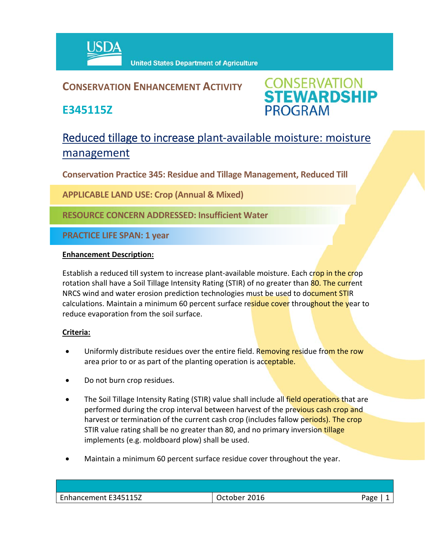

## **CONSERVATION ENHANCEMENT ACTIVITY**

**E345115Z**



# Reduced tillage to increase plant-available moisture: moisture management

**Conservation Practice 345: Residue and Tillage Management, Reduced Till** 

**APPLICABLE LAND USE: Crop (Annual & Mixed)**

**RESOURCE CONCERN ADDRESSED: Insufficient Water**

**PRACTICE LIFE SPAN: 1 year**

#### **Enhancement Description:**

Establish a reduced till system to increase plant-available moisture. Each crop in the crop rotation shall have a Soil Tillage Intensity Rating (STIR) of no greater than 80. The current NRCS wind and water erosion prediction technologies must be used to document STIR calculations. Maintain a minimum 60 percent surface residue cover throughout the year to reduce evaporation from the soil surface.

### **Criteria:**

- Uniformly distribute residues over the entire field. Removing residue from the row area prior to or as part of the planting operation is acceptable.
- Do not burn crop residues.
- The Soil Tillage Intensity Rating (STIR) value shall include all field operations that are performed during the crop interval between harvest of the previous cash crop and harvest or termination of the current cash crop (includes fallow periods). The crop STIR value rating shall be no greater than 80, and no primary inversion tillage implements (e.g. moldboard plow) shall be used.
- Maintain a minimum 60 percent surface residue cover throughout the year.

| Enhancement E345115Z | 2016<br>October | <sup>p</sup> age |
|----------------------|-----------------|------------------|